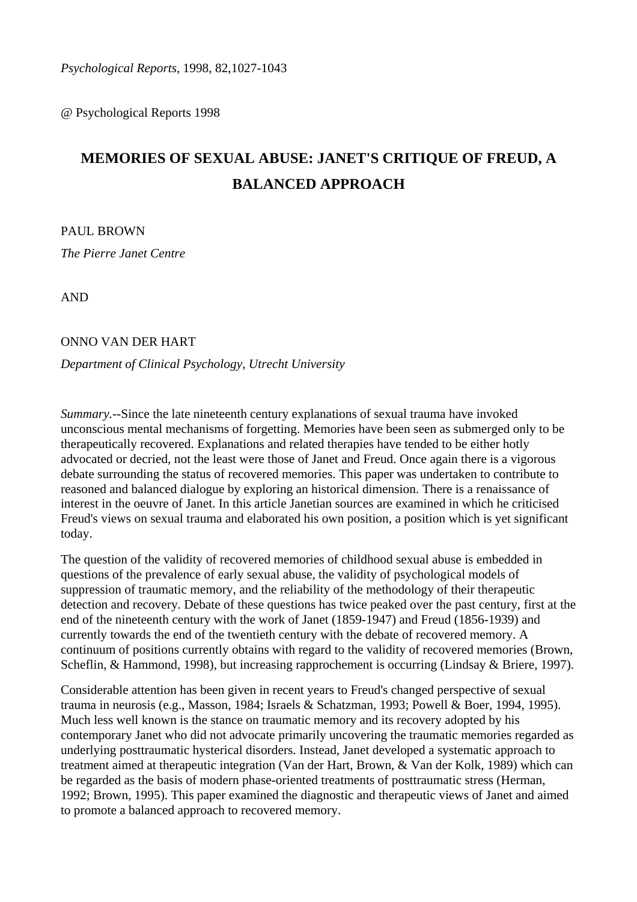*Psychological Reports,* 1998, 82,1027-1043

@ Psychological Reports 1998

# **MEMORIES OF SEXUAL ABUSE: JANET'S CRITIQUE OF FREUD, A BALANCED APPROACH**

PAUL BROWN *The Pierre Janet Centre* 

AND

#### ONNO VAN DER HART

#### *Department of Clinical Psychology, Utrecht University*

*Summary.--*Since the late nineteenth century explanations of sexual trauma have invoked unconscious mental mechanisms of forgetting. Memories have been seen as submerged only to be therapeutically recovered. Explanations and related therapies have tended to be either hotly advocated or decried, not the least were those of Janet and Freud. Once again there is a vigorous debate surrounding the status of recovered memories. This paper was undertaken to contribute to reasoned and balanced dialogue by exploring an historical dimension. There is a renaissance of interest in the oeuvre of Janet. In this article Janetian sources are examined in which he criticised Freud's views on sexual trauma and elaborated his own position, a position which is yet significant today.

The question of the validity of recovered memories of childhood sexual abuse is embedded in questions of the prevalence of early sexual abuse, the validity of psychological models of suppression of traumatic memory, and the reliability of the methodology of their therapeutic detection and recovery. Debate of these questions has twice peaked over the past century, first at the end of the nineteenth century with the work of Janet (1859-1947) and Freud (1856-1939) and currently towards the end of the twentieth century with the debate of recovered memory. A continuum of positions currently obtains with regard to the validity of recovered memories (Brown, Scheflin, & Hammond, 1998), but increasing rapprochement is occurring (Lindsay & Briere, 1997).

Considerable attention has been given in recent years to Freud's changed perspective of sexual trauma in neurosis (e.g., Masson, 1984; Israels & Schatzman, 1993; Powell & Boer, 1994, 1995). Much less well known is the stance on traumatic memory and its recovery adopted by his contemporary Janet who did not advocate primarily uncovering the traumatic memories regarded as underlying posttraumatic hysterical disorders. Instead, Janet developed a systematic approach to treatment aimed at therapeutic integration (Van der Hart, Brown, & Van der Kolk, 1989) which can be regarded as the basis of modern phase-oriented treatments of posttraumatic stress (Herman, 1992; Brown, 1995). This paper examined the diagnostic and therapeutic views of Janet and aimed to promote a balanced approach to recovered memory.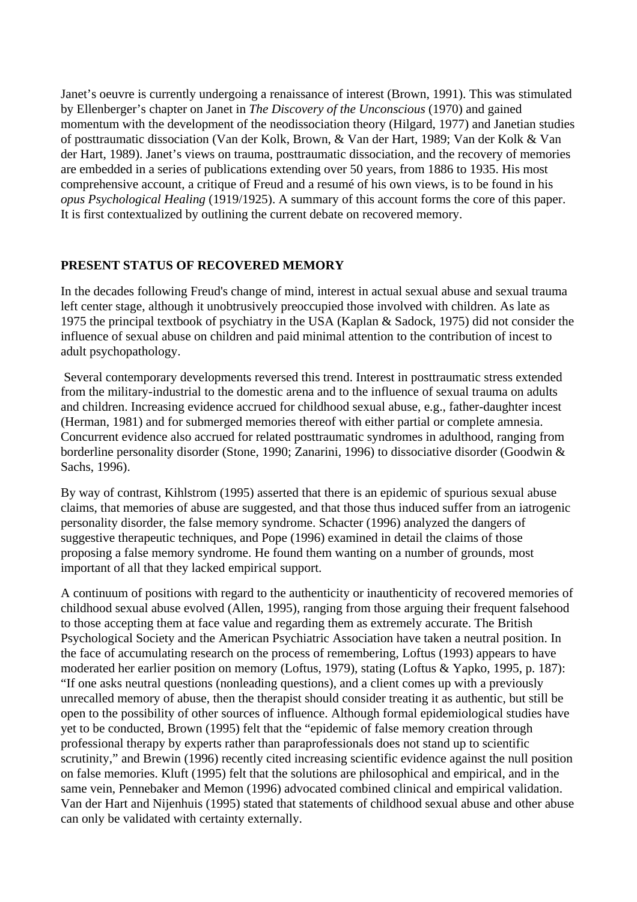Janet's oeuvre is currently undergoing a renaissance of interest (Brown, 1991). This was stimulated by Ellenberger's chapter on Janet in *The Discovery of the Unconscious* (1970) and gained momentum with the development of the neodissociation theory (Hilgard, 1977) and Janetian studies of posttraumatic dissociation (Van der Kolk, Brown, & Van der Hart, 1989; Van der Kolk & Van der Hart, 1989). Janet's views on trauma, posttraumatic dissociation, and the recovery of memories are embedded in a series of publications extending over 50 years, from 1886 to 1935. His most comprehensive account, a critique of Freud and a resumé of his own views, is to be found in his *opus Psychological Healing* (1919/1925). A summary of this account forms the core of this paper. It is first contextualized by outlining the current debate on recovered memory.

## **PRESENT STATUS OF RECOVERED MEMORY**

In the decades following Freud's change of mind, interest in actual sexual abuse and sexual trauma left center stage, although it unobtrusively preoccupied those involved with children. As late as 1975 the principal textbook of psychiatry in the USA (Kaplan & Sadock, 1975) did not consider the influence of sexual abuse on children and paid minimal attention to the contribution of incest to adult psychopathology.

 Several contemporary developments reversed this trend. Interest in posttraumatic stress extended from the military-industrial to the domestic arena and to the influence of sexual trauma on adults and children. Increasing evidence accrued for childhood sexual abuse, e.g., father-daughter incest (Herman, 1981) and for submerged memories thereof with either partial or complete amnesia. Concurrent evidence also accrued for related posttraumatic syndromes in adulthood, ranging from borderline personality disorder (Stone, 1990; Zanarini, 1996) to dissociative disorder (Goodwin & Sachs, 1996).

By way of contrast, Kihlstrom (1995) asserted that there is an epidemic of spurious sexual abuse claims, that memories of abuse are suggested, and that those thus induced suffer from an iatrogenic personality disorder, the false memory syndrome. Schacter (1996) analyzed the dangers of suggestive therapeutic techniques, and Pope (1996) examined in detail the claims of those proposing a false memory syndrome. He found them wanting on a number of grounds, most important of all that they lacked empirical support.

A continuum of positions with regard to the authenticity or inauthenticity of recovered memories of childhood sexual abuse evolved (Allen, 1995), ranging from those arguing their frequent falsehood to those accepting them at face value and regarding them as extremely accurate. The British Psychological Society and the American Psychiatric Association have taken a neutral position. In the face of accumulating research on the process of remembering, Loftus (1993) appears to have moderated her earlier position on memory (Loftus, 1979), stating (Loftus & Yapko, 1995, p. 187): "If one asks neutral questions (nonleading questions), and a client comes up with a previously unrecalled memory of abuse, then the therapist should consider treating it as authentic, but still be open to the possibility of other sources of influence. Although formal epidemiological studies have yet to be conducted, Brown (1995) felt that the "epidemic of false memory creation through professional therapy by experts rather than paraprofessionals does not stand up to scientific scrutinity," and Brewin (1996) recently cited increasing scientific evidence against the null position on false memories. Kluft (1995) felt that the solutions are philosophical and empirical, and in the same vein, Pennebaker and Memon (1996) advocated combined clinical and empirical validation. Van der Hart and Nijenhuis (1995) stated that statements of childhood sexual abuse and other abuse can only be validated with certainty externally.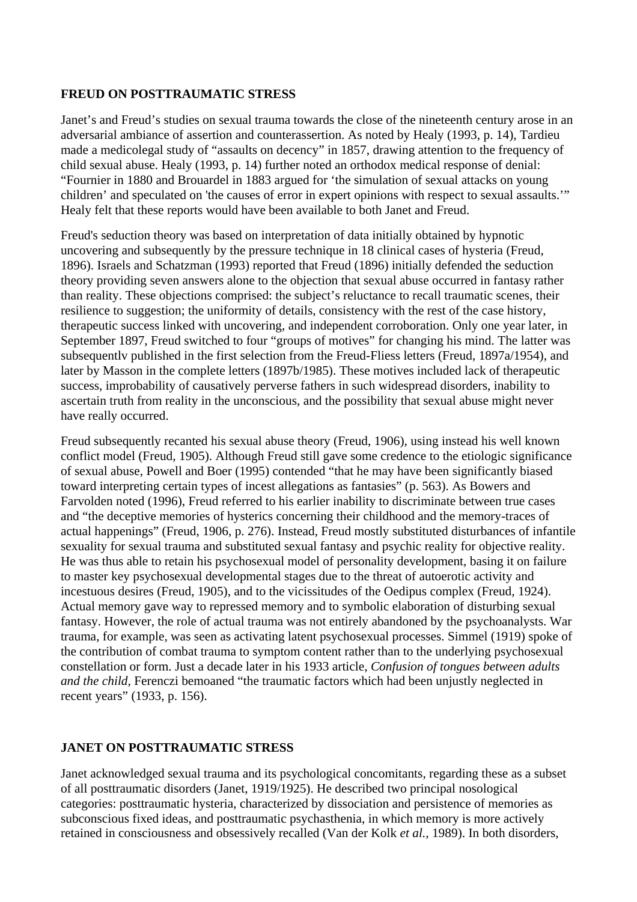### **FREUD ON POSTTRAUMATIC STRESS**

Janet's and Freud's studies on sexual trauma towards the close of the nineteenth century arose in an adversarial ambiance of assertion and counterassertion. As noted by Healy (1993, p. 14), Tardieu made a medicolegal study of "assaults on decency" in 1857, drawing attention to the frequency of child sexual abuse. Healy (1993, p. 14) further noted an orthodox medical response of denial: "Fournier in 1880 and Brouardel in 1883 argued for 'the simulation of sexual attacks on young children' and speculated on 'the causes of error in expert opinions with respect to sexual assaults.'" Healy felt that these reports would have been available to both Janet and Freud.

Freud's seduction theory was based on interpretation of data initially obtained by hypnotic uncovering and subsequently by the pressure technique in 18 clinical cases of hysteria (Freud, 1896). Israels and Schatzman (1993) reported that Freud (1896) initially defended the seduction theory providing seven answers alone to the objection that sexual abuse occurred in fantasy rather than reality. These objections comprised: the subject's reluctance to recall traumatic scenes, their resilience to suggestion; the uniformity of details, consistency with the rest of the case history, therapeutic success linked with uncovering, and independent corroboration. Only one year later, in September 1897, Freud switched to four "groups of motives" for changing his mind. The latter was subsequentlv published in the first selection from the Freud-Fliess letters (Freud, 1897a/1954), and later by Masson in the complete letters (1897b/1985). These motives included lack of therapeutic success, improbability of causatively perverse fathers in such widespread disorders, inability to ascertain truth from reality in the unconscious, and the possibility that sexual abuse might never have really occurred.

Freud subsequently recanted his sexual abuse theory (Freud, 1906), using instead his well known conflict model (Freud, 1905). Although Freud still gave some credence to the etiologic significance of sexual abuse, Powell and Boer (1995) contended "that he may have been significantly biased toward interpreting certain types of incest allegations as fantasies" (p. 563). As Bowers and Farvolden noted (1996), Freud referred to his earlier inability to discriminate between true cases and "the deceptive memories of hysterics concerning their childhood and the memory-traces of actual happenings" (Freud, 1906, p. 276). Instead, Freud mostly substituted disturbances of infantile sexuality for sexual trauma and substituted sexual fantasy and psychic reality for objective reality. He was thus able to retain his psychosexual model of personality development, basing it on failure to master key psychosexual developmental stages due to the threat of autoerotic activity and incestuous desires (Freud, 1905), and to the vicissitudes of the Oedipus complex (Freud, 1924). Actual memory gave way to repressed memory and to symbolic elaboration of disturbing sexual fantasy. However, the role of actual trauma was not entirely abandoned by the psychoanalysts. War trauma, for example, was seen as activating latent psychosexual processes. Simmel (1919) spoke of the contribution of combat trauma to symptom content rather than to the underlying psychosexual constellation or form. Just a decade later in his 1933 article, *Confusion of tongues between adults and the child,* Ferenczi bemoaned "the traumatic factors which had been unjustly neglected in recent years" (1933, p. 156).

## **JANET ON POSTTRAUMATIC STRESS**

Janet acknowledged sexual trauma and its psychological concomitants, regarding these as a subset of all posttraumatic disorders (Janet, 1919/1925). He described two principal nosological categories: posttraumatic hysteria, characterized by dissociation and persistence of memories as subconscious fixed ideas, and posttraumatic psychasthenia, in which memory is more actively retained in consciousness and obsessively recalled (Van der Kolk *et al.,* 1989). In both disorders,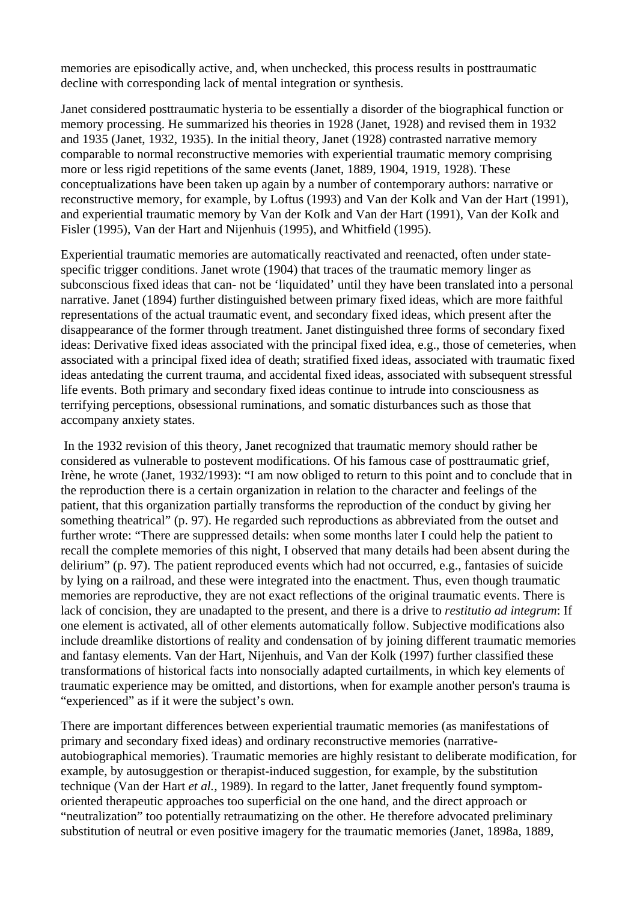memories are episodically active, and, when unchecked, this process results in posttraumatic decline with corresponding lack of mental integration or synthesis.

Janet considered posttraumatic hysteria to be essentially a disorder of the biographical function or memory processing. He summarized his theories in 1928 (Janet, 1928) and revised them in 1932 and 1935 (Janet, 1932, 1935). In the initial theory, Janet (1928) contrasted narrative memory comparable to normal reconstructive memories with experiential traumatic memory comprising more or less rigid repetitions of the same events (Janet, 1889, 1904, 1919, 1928). These conceptualizations have been taken up again by a number of contemporary authors: narrative or reconstructive memory, for example, by Loftus (1993) and Van der Kolk and Van der Hart (1991), and experiential traumatic memory by Van der KoIk and Van der Hart (1991), Van der KoIk and Fisler (1995), Van der Hart and Nijenhuis (1995), and Whitfield (1995).

Experiential traumatic memories are automatically reactivated and reenacted, often under statespecific trigger conditions. Janet wrote (1904) that traces of the traumatic memory linger as subconscious fixed ideas that can- not be 'liquidated' until they have been translated into a personal narrative. Janet (1894) further distinguished between primary fixed ideas, which are more faithful representations of the actual traumatic event, and secondary fixed ideas, which present after the disappearance of the former through treatment. Janet distinguished three forms of secondary fixed ideas: Derivative fixed ideas associated with the principal fixed idea, e.g., those of cemeteries, when associated with a principal fixed idea of death; stratified fixed ideas, associated with traumatic fixed ideas antedating the current trauma, and accidental fixed ideas, associated with subsequent stressful life events. Both primary and secondary fixed ideas continue to intrude into consciousness as terrifying perceptions, obsessional ruminations, and somatic disturbances such as those that accompany anxiety states.

 In the 1932 revision of this theory, Janet recognized that traumatic memory should rather be considered as vulnerable to postevent modifications. Of his famous case of posttraumatic grief, Irène, he wrote (Janet, 1932/1993): "I am now obliged to return to this point and to conclude that in the reproduction there is a certain organization in relation to the character and feelings of the patient, that this organization partially transforms the reproduction of the conduct by giving her something theatrical" (p. 97). He regarded such reproductions as abbreviated from the outset and further wrote: "There are suppressed details: when some months later I could help the patient to recall the complete memories of this night, I observed that many details had been absent during the delirium" (p. 97). The patient reproduced events which had not occurred, e.g., fantasies of suicide by lying on a railroad, and these were integrated into the enactment. Thus, even though traumatic memories are reproductive, they are not exact reflections of the original traumatic events. There is lack of concision, they are unadapted to the present, and there is a drive to *restitutio ad integrum*: If one element is activated, all of other elements automatically follow. Subjective modifications also include dreamlike distortions of reality and condensation of by joining different traumatic memories and fantasy elements. Van der Hart, Nijenhuis, and Van der Kolk (1997) further classified these transformations of historical facts into nonsocially adapted curtailments, in which key elements of traumatic experience may be omitted, and distortions, when for example another person's trauma is "experienced" as if it were the subject's own.

There are important differences between experiential traumatic memories (as manifestations of primary and secondary fixed ideas) and ordinary reconstructive memories (narrativeautobiographical memories). Traumatic memories are highly resistant to deliberate modification, for example, by autosuggestion or therapist-induced suggestion, for example, by the substitution technique (Van der Hart *et al.,* 1989). In regard to the latter, Janet frequently found symptomoriented therapeutic approaches too superficial on the one hand, and the direct approach or "neutralization" too potentially retraumatizing on the other. He therefore advocated preliminary substitution of neutral or even positive imagery for the traumatic memories (Janet, 1898a, 1889,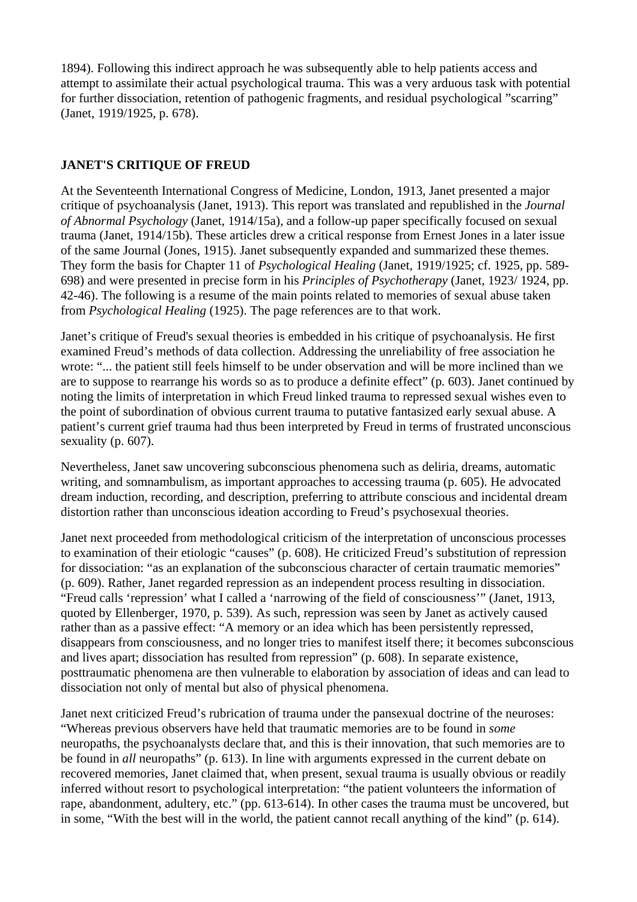1894). Following this indirect approach he was subsequently able to help patients access and attempt to assimilate their actual psychological trauma. This was a very arduous task with potential for further dissociation, retention of pathogenic fragments, and residual psychological "scarring" (Janet, 1919/1925, p. 678).

## **JANET'S CRITIQUE OF FREUD**

At the Seventeenth International Congress of Medicine, London, 1913, Janet presented a major critique of psychoanalysis (Janet, 1913). This report was translated and republished in the *Journal of Abnormal Psychology* (Janet, 1914/15a), and a follow-up paper specifically focused on sexual trauma (Janet, 1914/15b). These articles drew a critical response from Ernest Jones in a later issue of the same Journal (Jones, 1915). Janet subsequently expanded and summarized these themes. They form the basis for Chapter 11 of *Psychological Healing* (Janet, 1919/1925; cf. 1925, pp. 589- 698) and were presented in precise form in his *Principles of Psychotherapy* (Janet, 1923/ 1924, pp. 42-46). The following is a resume of the main points related to memories of sexual abuse taken from *Psychological Healing* (1925). The page references are to that work.

Janet's critique of Freud's sexual theories is embedded in his critique of psychoanalysis. He first examined Freud's methods of data collection. Addressing the unreliability of free association he wrote: "... the patient still feels himself to be under observation and will be more inclined than we are to suppose to rearrange his words so as to produce a definite effect" (p. 603). Janet continued by noting the limits of interpretation in which Freud linked trauma to repressed sexual wishes even to the point of subordination of obvious current trauma to putative fantasized early sexual abuse. A patient's current grief trauma had thus been interpreted by Freud in terms of frustrated unconscious sexuality (p. 607).

Nevertheless, Janet saw uncovering subconscious phenomena such as deliria, dreams, automatic writing, and somnambulism, as important approaches to accessing trauma (p. 605). He advocated dream induction, recording, and description, preferring to attribute conscious and incidental dream distortion rather than unconscious ideation according to Freud's psychosexual theories.

Janet next proceeded from methodological criticism of the interpretation of unconscious processes to examination of their etiologic "causes" (p. 608). He criticized Freud's substitution of repression for dissociation: "as an explanation of the subconscious character of certain traumatic memories" (p. 609). Rather, Janet regarded repression as an independent process resulting in dissociation. "Freud calls 'repression' what I called a 'narrowing of the field of consciousness'" (Janet, 1913, quoted by Ellenberger, 1970, p. 539). As such, repression was seen by Janet as actively caused rather than as a passive effect: "A memory or an idea which has been persistently repressed, disappears from consciousness, and no longer tries to manifest itself there; it becomes subconscious and lives apart; dissociation has resulted from repression" (p. 608). In separate existence, posttraumatic phenomena are then vulnerable to elaboration by association of ideas and can lead to dissociation not only of mental but also of physical phenomena.

Janet next criticized Freud's rubrication of trauma under the pansexual doctrine of the neuroses: "Whereas previous observers have held that traumatic memories are to be found in *some*  neuropaths, the psychoanalysts declare that, and this is their innovation, that such memories are to be found in *all* neuropaths" (p. 613). In line with arguments expressed in the current debate on recovered memories, Janet claimed that, when present, sexual trauma is usually obvious or readily inferred without resort to psychological interpretation: "the patient volunteers the information of rape, abandonment, adultery, etc." (pp. 613-614). In other cases the trauma must be uncovered, but in some, "With the best will in the world, the patient cannot recall anything of the kind" (p. 614).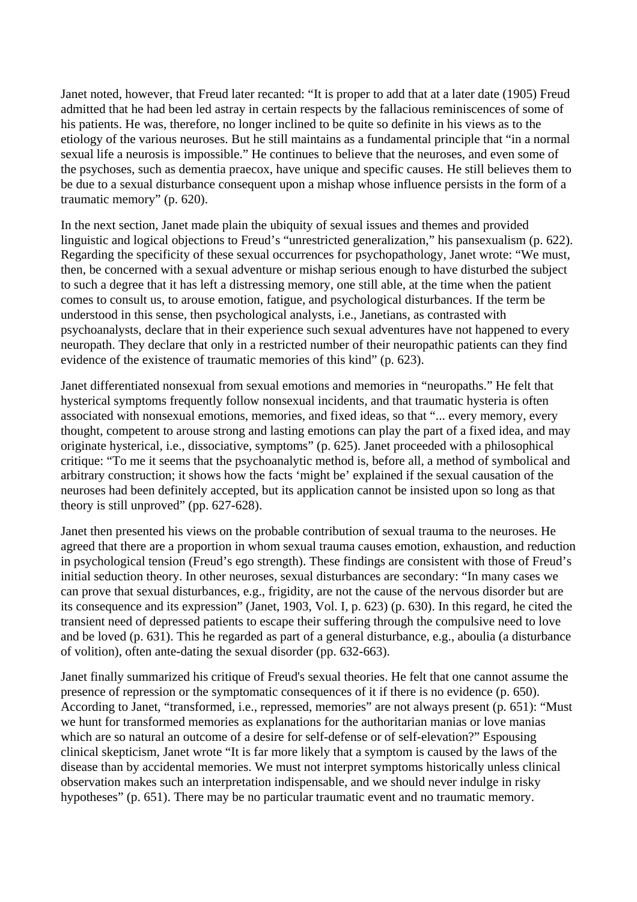Janet noted, however, that Freud later recanted: "It is proper to add that at a later date (1905) Freud admitted that he had been led astray in certain respects by the fallacious reminiscences of some of his patients. He was, therefore, no longer inclined to be quite so definite in his views as to the etiology of the various neuroses. But he still maintains as a fundamental principle that "in a normal sexual life a neurosis is impossible." He continues to believe that the neuroses, and even some of the psychoses, such as dementia praecox, have unique and specific causes. He still believes them to be due to a sexual disturbance consequent upon a mishap whose influence persists in the form of a traumatic memory" (p. 620).

In the next section, Janet made plain the ubiquity of sexual issues and themes and provided linguistic and logical objections to Freud's "unrestricted generalization," his pansexualism (p. 622). Regarding the specificity of these sexual occurrences for psychopathology, Janet wrote: "We must, then, be concerned with a sexual adventure or mishap serious enough to have disturbed the subject to such a degree that it has left a distressing memory, one still able, at the time when the patient comes to consult us, to arouse emotion, fatigue, and psychological disturbances. If the term be understood in this sense, then psychological analysts, i.e., Janetians, as contrasted with psychoanalysts, declare that in their experience such sexual adventures have not happened to every neuropath. They declare that only in a restricted number of their neuropathic patients can they find evidence of the existence of traumatic memories of this kind" (p. 623).

Janet differentiated nonsexual from sexual emotions and memories in "neuropaths." He felt that hysterical symptoms frequently follow nonsexual incidents, and that traumatic hysteria is often associated with nonsexual emotions, memories, and fixed ideas, so that "... every memory, every thought, competent to arouse strong and lasting emotions can play the part of a fixed idea, and may originate hysterical, i.e., dissociative, symptoms" (p. 625). Janet proceeded with a philosophical critique: "To me it seems that the psychoanalytic method is, before all, a method of symbolical and arbitrary construction; it shows how the facts 'might be' explained if the sexual causation of the neuroses had been definitely accepted, but its application cannot be insisted upon so long as that theory is still unproved" (pp. 627-628).

Janet then presented his views on the probable contribution of sexual trauma to the neuroses. He agreed that there are a proportion in whom sexual trauma causes emotion, exhaustion, and reduction in psychological tension (Freud's ego strength). These findings are consistent with those of Freud's initial seduction theory. In other neuroses, sexual disturbances are secondary: "In many cases we can prove that sexual disturbances, e.g., frigidity, are not the cause of the nervous disorder but are its consequence and its expression" (Janet, 1903, Vol. I, p. 623) (p. 630). In this regard, he cited the transient need of depressed patients to escape their suffering through the compulsive need to love and be loved (p. 631). This he regarded as part of a general disturbance, e.g., aboulia (a disturbance of volition), often ante-dating the sexual disorder (pp. 632-663).

Janet finally summarized his critique of Freud's sexual theories. He felt that one cannot assume the presence of repression or the symptomatic consequences of it if there is no evidence (p. 650). According to Janet, "transformed, i.e., repressed, memories" are not always present (p. 651): "Must we hunt for transformed memories as explanations for the authoritarian manias or love manias which are so natural an outcome of a desire for self-defense or of self-elevation?" Espousing clinical skepticism, Janet wrote "It is far more likely that a symptom is caused by the laws of the disease than by accidental memories. We must not interpret symptoms historically unless clinical observation makes such an interpretation indispensable, and we should never indulge in risky hypotheses" (p. 651). There may be no particular traumatic event and no traumatic memory.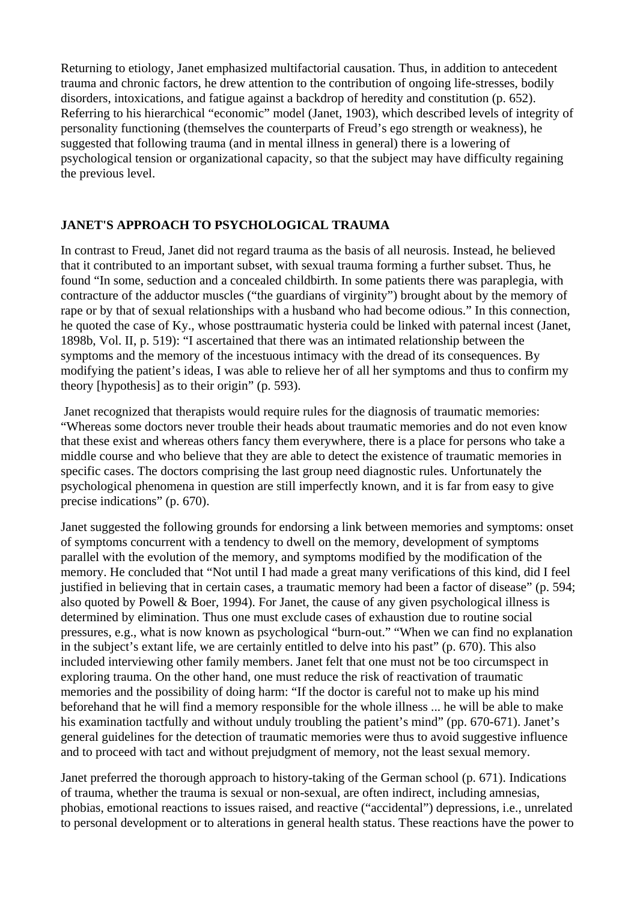Returning to etiology, Janet emphasized multifactorial causation. Thus, in addition to antecedent trauma and chronic factors, he drew attention to the contribution of ongoing life-stresses, bodily disorders, intoxications, and fatigue against a backdrop of heredity and constitution (p. 652). Referring to his hierarchical "economic" model (Janet, 1903), which described levels of integrity of personality functioning (themselves the counterparts of Freud's ego strength or weakness), he suggested that following trauma (and in mental illness in general) there is a lowering of psychological tension or organizational capacity, so that the subject may have difficulty regaining the previous level.

# **JANET'S APPROACH TO PSYCHOLOGICAL TRAUMA**

In contrast to Freud, Janet did not regard trauma as the basis of all neurosis. Instead, he believed that it contributed to an important subset, with sexual trauma forming a further subset. Thus, he found "In some, seduction and a concealed childbirth. In some patients there was paraplegia, with contracture of the adductor muscles ("the guardians of virginity") brought about by the memory of rape or by that of sexual relationships with a husband who had become odious." In this connection, he quoted the case of Ky., whose posttraumatic hysteria could be linked with paternal incest (Janet, 1898b, Vol. II, p. 519): "I ascertained that there was an intimated relationship between the symptoms and the memory of the incestuous intimacy with the dread of its consequences. By modifying the patient's ideas, I was able to relieve her of all her symptoms and thus to confirm my theory [hypothesis] as to their origin" (p. 593).

 Janet recognized that therapists would require rules for the diagnosis of traumatic memories: "Whereas some doctors never trouble their heads about traumatic memories and do not even know that these exist and whereas others fancy them everywhere, there is a place for persons who take a middle course and who believe that they are able to detect the existence of traumatic memories in specific cases. The doctors comprising the last group need diagnostic rules. Unfortunately the psychological phenomena in question are still imperfectly known, and it is far from easy to give precise indications" (p. 670).

Janet suggested the following grounds for endorsing a link between memories and symptoms: onset of symptoms concurrent with a tendency to dwell on the memory, development of symptoms parallel with the evolution of the memory, and symptoms modified by the modification of the memory. He concluded that "Not until I had made a great many verifications of this kind, did I feel justified in believing that in certain cases, a traumatic memory had been a factor of disease" (p. 594; also quoted by Powell & Boer, 1994). For Janet, the cause of any given psychological illness is determined by elimination. Thus one must exclude cases of exhaustion due to routine social pressures, e.g., what is now known as psychological "burn-out." "When we can find no explanation in the subject's extant life, we are certainly entitled to delve into his past" (p. 670). This also included interviewing other family members. Janet felt that one must not be too circumspect in exploring trauma. On the other hand, one must reduce the risk of reactivation of traumatic memories and the possibility of doing harm: "If the doctor is careful not to make up his mind beforehand that he will find a memory responsible for the whole illness ... he will be able to make his examination tactfully and without unduly troubling the patient's mind" (pp. 670-671). Janet's general guidelines for the detection of traumatic memories were thus to avoid suggestive influence and to proceed with tact and without prejudgment of memory, not the least sexual memory.

Janet preferred the thorough approach to history-taking of the German school (p. 671). Indications of trauma, whether the trauma is sexual or non-sexual, are often indirect, including amnesias, phobias, emotional reactions to issues raised, and reactive ("accidental") depressions, i.e., unrelated to personal development or to alterations in general health status. These reactions have the power to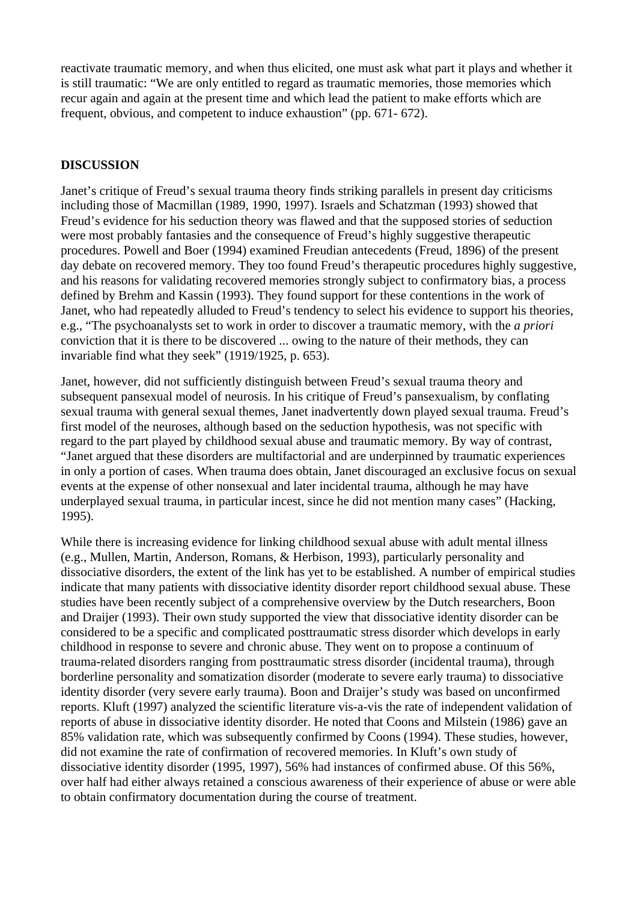reactivate traumatic memory, and when thus elicited, one must ask what part it plays and whether it is still traumatic: "We are only entitled to regard as traumatic memories, those memories which recur again and again at the present time and which lead the patient to make efforts which are frequent, obvious, and competent to induce exhaustion" (pp. 671- 672).

## **DISCUSSION**

Janet's critique of Freud's sexual trauma theory finds striking parallels in present day criticisms including those of Macmillan (1989, 1990, 1997). Israels and Schatzman (1993) showed that Freud's evidence for his seduction theory was flawed and that the supposed stories of seduction were most probably fantasies and the consequence of Freud's highly suggestive therapeutic procedures. Powell and Boer (1994) examined Freudian antecedents (Freud, 1896) of the present day debate on recovered memory. They too found Freud's therapeutic procedures highly suggestive, and his reasons for validating recovered memories strongly subject to confirmatory bias, a process defined by Brehm and Kassin (1993). They found support for these contentions in the work of Janet, who had repeatedly alluded to Freud's tendency to select his evidence to support his theories, e.g., "The psychoanalysts set to work in order to discover a traumatic memory, with the *a priori*  conviction that it is there to be discovered ... owing to the nature of their methods, they can invariable find what they seek" (1919/1925, p. 653).

Janet, however, did not sufficiently distinguish between Freud's sexual trauma theory and subsequent pansexual model of neurosis. In his critique of Freud's pansexualism, by conflating sexual trauma with general sexual themes, Janet inadvertently down played sexual trauma. Freud's first model of the neuroses, although based on the seduction hypothesis, was not specific with regard to the part played by childhood sexual abuse and traumatic memory. By way of contrast, "Janet argued that these disorders are multifactorial and are underpinned by traumatic experiences in only a portion of cases. When trauma does obtain, Janet discouraged an exclusive focus on sexual events at the expense of other nonsexual and later incidental trauma, although he may have underplayed sexual trauma, in particular incest, since he did not mention many cases" (Hacking, 1995).

While there is increasing evidence for linking childhood sexual abuse with adult mental illness (e.g., Mullen, Martin, Anderson, Romans, & Herbison, 1993), particularly personality and dissociative disorders, the extent of the link has yet to be established. A number of empirical studies indicate that many patients with dissociative identity disorder report childhood sexual abuse. These studies have been recently subject of a comprehensive overview by the Dutch researchers, Boon and Draijer (1993). Their own study supported the view that dissociative identity disorder can be considered to be a specific and complicated posttraumatic stress disorder which develops in early childhood in response to severe and chronic abuse. They went on to propose a continuum of trauma-related disorders ranging from posttraumatic stress disorder (incidental trauma), through borderline personality and somatization disorder (moderate to severe early trauma) to dissociative identity disorder (very severe early trauma). Boon and Draijer's study was based on unconfirmed reports. Kluft (1997) analyzed the scientific literature vis-a-vis the rate of independent validation of reports of abuse in dissociative identity disorder. He noted that Coons and Milstein (1986) gave an 85% validation rate, which was subsequently confirmed by Coons (1994). These studies, however, did not examine the rate of confirmation of recovered memories. In Kluft's own study of dissociative identity disorder (1995, 1997), 56% had instances of confirmed abuse. Of this 56%, over half had either always retained a conscious awareness of their experience of abuse or were able to obtain confirmatory documentation during the course of treatment.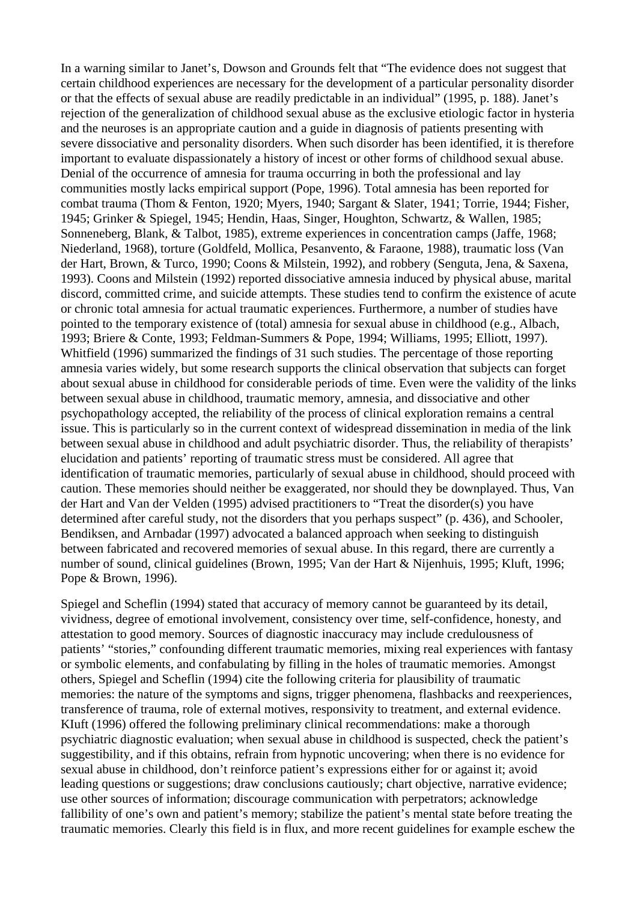In a warning similar to Janet's, Dowson and Grounds felt that "The evidence does not suggest that certain childhood experiences are necessary for the development of a particular personality disorder or that the effects of sexual abuse are readily predictable in an individual" (1995, p. 188). Janet's rejection of the generalization of childhood sexual abuse as the exclusive etiologic factor in hysteria and the neuroses is an appropriate caution and a guide in diagnosis of patients presenting with severe dissociative and personality disorders. When such disorder has been identified, it is therefore important to evaluate dispassionately a history of incest or other forms of childhood sexual abuse. Denial of the occurrence of amnesia for trauma occurring in both the professional and lay communities mostly lacks empirical support (Pope, 1996). Total amnesia has been reported for combat trauma (Thom & Fenton, 1920; Myers, 1940; Sargant & Slater, 1941; Torrie, 1944; Fisher, 1945; Grinker & Spiegel, 1945; Hendin, Haas, Singer, Houghton, Schwartz, & Wallen, 1985; Sonneneberg, Blank, & Talbot, 1985), extreme experiences in concentration camps (Jaffe, 1968; Niederland, 1968), torture (Goldfeld, Mollica, Pesanvento, & Faraone, 1988), traumatic loss (Van der Hart, Brown, & Turco, 1990; Coons & Milstein, 1992), and robbery (Senguta, Jena, & Saxena, 1993). Coons and Milstein (1992) reported dissociative amnesia induced by physical abuse, marital discord, committed crime, and suicide attempts. These studies tend to confirm the existence of acute or chronic total amnesia for actual traumatic experiences. Furthermore, a number of studies have pointed to the temporary existence of (total) amnesia for sexual abuse in childhood (e.g., Albach, 1993; Briere & Conte, 1993; Feldman-Summers & Pope, 1994; Williams, 1995; Elliott, 1997). Whitfield (1996) summarized the findings of 31 such studies. The percentage of those reporting amnesia varies widely, but some research supports the clinical observation that subjects can forget about sexual abuse in childhood for considerable periods of time. Even were the validity of the links between sexual abuse in childhood, traumatic memory, amnesia, and dissociative and other psychopathology accepted, the reliability of the process of clinical exploration remains a central issue. This is particularly so in the current context of widespread dissemination in media of the link between sexual abuse in childhood and adult psychiatric disorder. Thus, the reliability of therapists' elucidation and patients' reporting of traumatic stress must be considered. All agree that identification of traumatic memories, particularly of sexual abuse in childhood, should proceed with caution. These memories should neither be exaggerated, nor should they be downplayed. Thus, Van der Hart and Van der Velden (1995) advised practitioners to "Treat the disorder(s) you have determined after careful study, not the disorders that you perhaps suspect" (p. 436), and Schooler, Bendiksen, and Arnbadar (1997) advocated a balanced approach when seeking to distinguish between fabricated and recovered memories of sexual abuse. In this regard, there are currently a number of sound, clinical guidelines (Brown, 1995; Van der Hart & Nijenhuis, 1995; Kluft, 1996; Pope & Brown, 1996).

Spiegel and Scheflin (1994) stated that accuracy of memory cannot be guaranteed by its detail, vividness, degree of emotional involvement, consistency over time, self-confidence, honesty, and attestation to good memory. Sources of diagnostic inaccuracy may include credulousness of patients' "stories," confounding different traumatic memories, mixing real experiences with fantasy or symbolic elements, and confabulating by filling in the holes of traumatic memories. Amongst others, Spiegel and Scheflin (1994) cite the following criteria for plausibility of traumatic memories: the nature of the symptoms and signs, trigger phenomena, flashbacks and reexperiences, transference of trauma, role of external motives, responsivity to treatment, and external evidence. KIuft (1996) offered the following preliminary clinical recommendations: make a thorough psychiatric diagnostic evaluation; when sexual abuse in childhood is suspected, check the patient's suggestibility, and if this obtains, refrain from hypnotic uncovering; when there is no evidence for sexual abuse in childhood, don't reinforce patient's expressions either for or against it; avoid leading questions or suggestions; draw conclusions cautiously; chart objective, narrative evidence; use other sources of information; discourage communication with perpetrators; acknowledge fallibility of one's own and patient's memory; stabilize the patient's mental state before treating the traumatic memories. Clearly this field is in flux, and more recent guidelines for example eschew the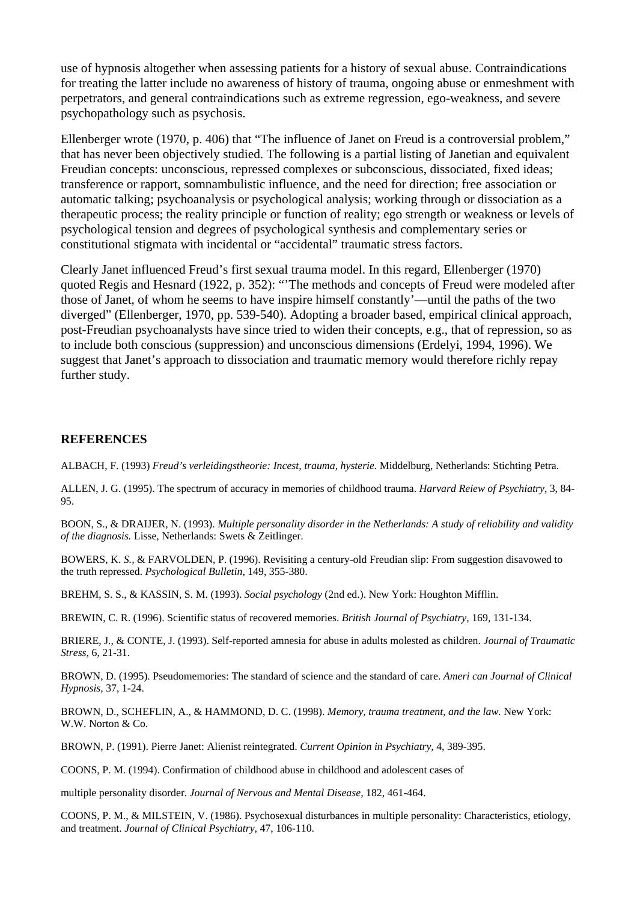use of hypnosis altogether when assessing patients for a history of sexual abuse. Contraindications for treating the latter include no awareness of history of trauma, ongoing abuse or enmeshment with perpetrators, and general contraindications such as extreme regression, ego-weakness, and severe psychopathology such as psychosis.

Ellenberger wrote (1970, p. 406) that "The influence of Janet on Freud is a controversial problem," that has never been objectively studied. The following is a partial listing of Janetian and equivalent Freudian concepts: unconscious, repressed complexes or subconscious, dissociated, fixed ideas; transference or rapport, somnambulistic influence, and the need for direction; free association or automatic talking; psychoanalysis or psychological analysis; working through or dissociation as a therapeutic process; the reality principle or function of reality; ego strength or weakness or levels of psychological tension and degrees of psychological synthesis and complementary series or constitutional stigmata with incidental or "accidental" traumatic stress factors.

Clearly Janet influenced Freud's first sexual trauma model. In this regard, Ellenberger (1970) quoted Regis and Hesnard (1922, p. 352): "'The methods and concepts of Freud were modeled after those of Janet, of whom he seems to have inspire himself constantly'—until the paths of the two diverged" (Ellenberger, 1970, pp. 539-540). Adopting a broader based, empirical clinical approach, post-Freudian psychoanalysts have since tried to widen their concepts, e.g., that of repression, so as to include both conscious (suppression) and unconscious dimensions (Erdelyi, 1994, 1996). We suggest that Janet's approach to dissociation and traumatic memory would therefore richly repay further study.

#### **REFERENCES**

ALBACH, F. (1993) *Freud's verleidingstheorie: Incest, trauma, hysterie.* Middelburg, Netherlands: Stichting Petra.

ALLEN, J. G. (1995). The spectrum of accuracy in memories of childhood trauma. *Harvard Reiew of Psychiatry,* 3, 84- 95.

BOON, S., & DRAIJER, N. (1993). *Multiple personality disorder in the Netherlands: A study of reliability and validity of the diagnosis.* Lisse, Netherlands: Swets & Zeitlinger.

BOWERS, K. *S.,* & FARVOLDEN, P. (1996). Revisiting a century-old Freudian slip: From suggestion disavowed to the truth repressed. *Psychological Bulletin,* 149, 355-380.

BREHM, S. S., & KASSIN, S. M. (1993). *Social psychology* (2nd ed.). New York: Houghton Mifflin.

BREWIN, C. R. (1996). Scientific status of recovered memories. *British Journal of Psychiatry,* 169, 131-134.

BRIERE, J., & CONTE, J. (1993). Self-reported amnesia for abuse in adults molested as children. *Journal of Traumatic Stress,* 6, 21-31.

BROWN, D. (1995). Pseudomemories: The standard of science and the standard of care. *Ameri can Journal of Clinical Hypnosis,* 37, 1-24.

BROWN, D., SCHEFLIN, A., & HAMMOND, D. C. (1998). *Memory, trauma treatment, and the law.* New York: W.W. Norton & Co.

BROWN, P. (1991). Pierre Janet: Alienist reintegrated. *Current Opinion in Psychiatry,* 4, 389-395.

COONS, P. M. (1994). Confirmation of childhood abuse in childhood and adolescent cases of

multiple personality disorder. *Journal of Nervous and Mental Disease,* 182, 461-464.

COONS, P. M., & MILSTEIN, V. (1986). Psychosexual disturbances in multiple personality: Characteristics, etiology, and treatment. *Journal of Clinical Psychiatry,* 47, 106-110.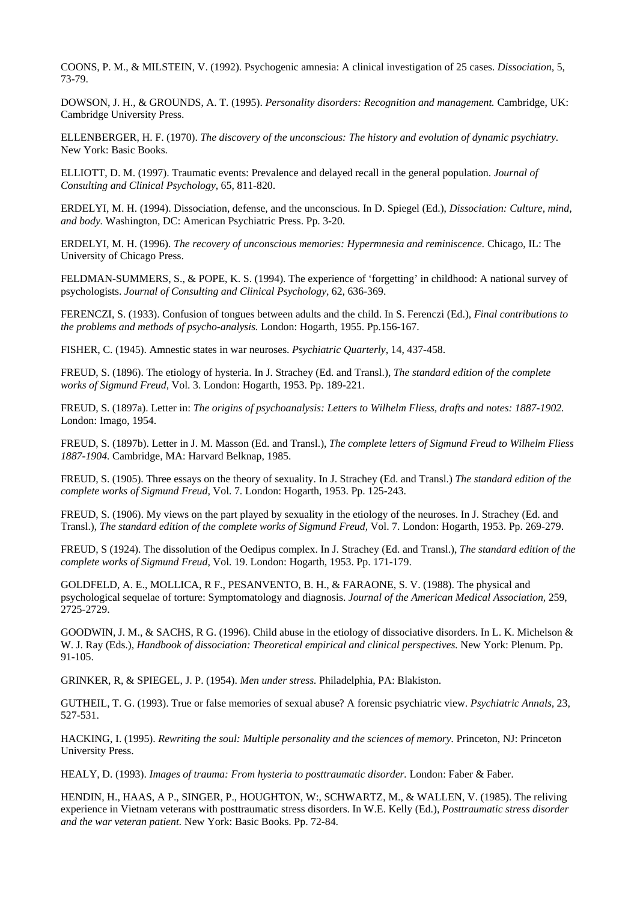COONS, P. M., & MILSTEIN, V. (1992). Psychogenic amnesia: A clinical investigation of 25 cases. *Dissociation,* 5, 73-79.

DOWSON, J. H., & GROUNDS, A. T. (1995). *Personality disorders: Recognition and management.* Cambridge, UK: Cambridge University Press.

ELLENBERGER, H. F. (1970). *The discovery of the unconscious: The history and evolution of dynamic psychiatry.*  New York: Basic Books.

ELLIOTT, D. M. (1997). Traumatic events: Prevalence and delayed recall in the general population. *Journal of Consulting and Clinical Psychology,* 65, 811-820.

ERDELYI, M. H. (1994). Dissociation, defense, and the unconscious. In D. Spiegel (Ed.), *Dissociation: Culture, mind, and body.* Washington, DC: American Psychiatric Press. Pp. 3-20.

ERDELYI, M. H. (1996). *The recovery of unconscious memories: Hypermnesia and reminiscence.* Chicago, IL: The University of Chicago Press.

FELDMAN-SUMMERS, S., & POPE, K. S. (1994). The experience of 'forgetting' in childhood: A national survey of psychologists. *Journal of Consulting and Clinical Psychology,* 62, 636-369.

FERENCZI, S. (1933). Confusion of tongues between adults and the child. In S. Ferenczi (Ed.), *Final contributions to the problems and methods of psycho-analysis.* London: Hogarth, 1955. Pp.156-167.

FISHER, C. (1945). Amnestic states in war neuroses. *Psychiatric Quarterly,* 14, 437-458.

FREUD, S. (1896). The etiology of hysteria. In J. Strachey (Ed. and Transl.), *The standard edition of the complete works of Sigmund Freud,* Vol. 3. London: Hogarth, 1953. Pp. 189-221.

FREUD, S. (1897a). Letter in: *The origins of psychoanalysis: Letters to Wilhelm Fliess, drafts and notes: 1887-1902.*  London: Imago, 1954.

FREUD, S. (1897b). Letter in J. M. Masson (Ed. and Transl.), *The complete letters of Sigmund Freud to Wilhelm Fliess 1887-1904.* Cambridge, MA: Harvard Belknap, 1985.

FREUD, S. (1905). Three essays on the theory of sexuality. In J. Strachey (Ed. and Transl.) *The standard edition of the complete works of Sigmund Freud,* Vol. 7. London: Hogarth, 1953. Pp. 125-243.

FREUD, S. (1906). My views on the part played by sexuality in the etiology of the neuroses. In J. Strachey (Ed. and Transl.), *The standard edition of the complete works of Sigmund Freud,* Vol. 7. London: Hogarth, 1953. Pp. 269-279.

FREUD, S (1924). The dissolution of the Oedipus complex. In J. Strachey (Ed. and Transl.), *The standard edition of the complete works of Sigmund Freud,* Vol. 19. London: Hogarth, 1953. Pp. 171-179.

GOLDFELD, A. E., MOLLICA, R F., PESANVENTO, B. H., & FARAONE, S. V. (1988). The physical and psychological sequelae of torture: Symptomatology and diagnosis. *Journal of the American Medical Association,* 259, 2725-2729.

GOODWIN, J. M., & SACHS, R G. (1996). Child abuse in the etiology of dissociative disorders. In L. K. Michelson & W. J. Ray (Eds.), *Handbook of dissociation: Theoretical empirical and clinical perspectives.* New York: Plenum. Pp. 91-105.

GRINKER, R, & SPIEGEL, J. P. (1954). *Men under stress.* Philadelphia, PA: Blakiston.

GUTHEIL, T. G. (1993). True or false memories of sexual abuse? A forensic psychiatric view. *Psychiatric Annals,* 23, 527-531.

HACKING, I. (1995). *Rewriting the soul: Multiple personality and the sciences of memory.* Princeton, NJ: Princeton University Press.

HEALY, D. (1993). *Images of trauma: From hysteria to posttraumatic disorder.* London: Faber & Faber.

HENDIN, H., HAAS, A P., SINGER, P., HOUGHTON, W:, SCHWARTZ, M., & WALLEN, V. (1985). The reliving experience in Vietnam veterans with posttraumatic stress disorders. In W.E. Kelly (Ed.), *Posttraumatic stress disorder and the war veteran patient.* New York: Basic Books. Pp. 72-84.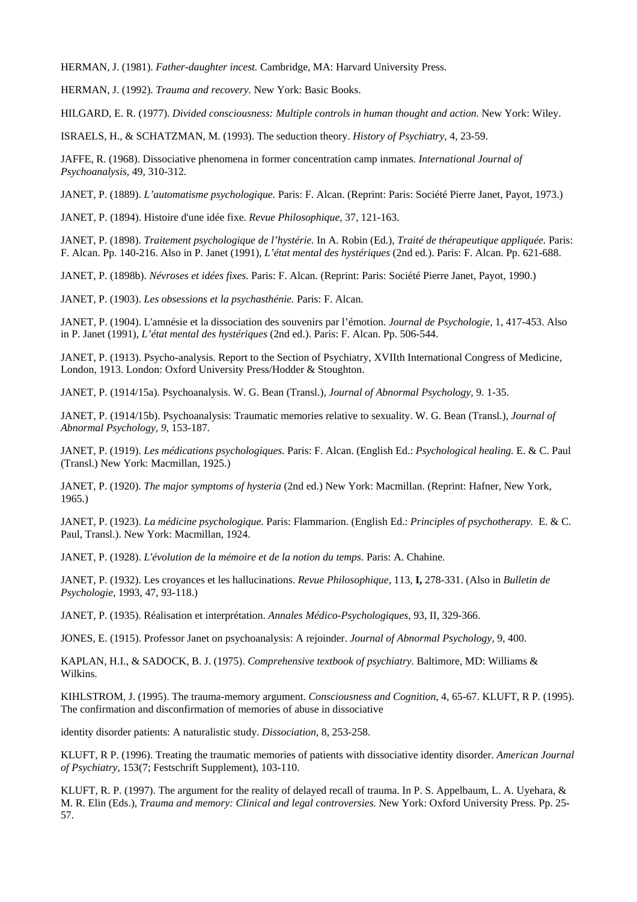HERMAN, J. (1981). *Father-daughter incest.* Cambridge, MA: Harvard University Press.

HERMAN, J. (1992). *Trauma and recovery.* New York: Basic Books.

HILGARD, E. R. (1977). *Divided consciousness: Multiple controls in human thought and action*. New York: Wiley.

ISRAELS, H., & SCHATZMAN, M. (1993). The seduction theory. *History of Psychiatry,* 4, 23-59.

JAFFE, R. (1968). Dissociative phenomena in former concentration camp inmates. *International Journal of Psychoanalysis,* 49, 310-312.

JANET, P. (1889). *L'automatisme psychologique.* Paris: F. Alcan. (Reprint: Paris: Société Pierre Janet, Payot, 1973.)

JANET, P. (1894). Histoire d'une idée fixe. *Revue Philosophique,* 37, 121-163.

JANET, P. (1898). *Traitement psychologique de l'hystérie.* In A. Robin (Ed.), *Traité de thérapeutique appliquée.* Paris: F. Alcan. Pp. 140-216. Also in P. Janet (1991), *L'état mental des hystériques* (2nd ed.). Paris: F. Alcan. Pp. 621-688.

JANET, P. (1898b). *Névroses et idées fixes.* Paris: F. Alcan. (Reprint: Paris: Société Pierre Janet, Payot, 1990.)

JANET, P. (1903). *Les obsessions et la psychasthénie.* Paris: F. Alcan.

JANET, P. (1904). L'amnésie et la dissociation des souvenirs par l'émotion. *Journal de Psychologie,* 1, 417-453. Also in P. Janet (1991), *L'état mental des hystériques* (2nd ed.). Paris: F. Alcan. Pp. 506-544.

JANET, P. (1913). Psycho-analysis. Report to the Section of Psychiatry, XVIIth International Congress of Medicine, London, 1913. London: Oxford University Press/Hodder & Stoughton.

JANET, P. (1914/15a). Psychoanalysis. W. G. Bean (Transl.), *Journal of Abnormal Psychology,* 9. 1-35.

JANET, P. (1914/15b). Psychoanalysis: Traumatic memories relative to sexuality. W. G. Bean (Transl.), *Journal of Abnormal Psychology, 9*, 153-187*.* 

JANET, P. (1919). *Les médications psychologiques.* Paris: F. Alcan. (English Ed.: *Psychological healing.* E. & C. Paul (Transl.) New York: Macmillan, 1925.)

JANET, P. (1920). *The major symptoms of hysteria* (2nd ed.) New York: Macmillan. (Reprint: Hafner, New York, 1965.)

JANET, P. (1923). *La médicine psychologique.* Paris: Flammarion. (English Ed.: *Principles of psychotherapy.* E. & C. Paul, Transl.). New York: Macmillan, 1924.

JANET, P. (1928). *L'évolution de la mémoire et de la notion du temps.* Paris: A. Chahine.

JANET, P. (1932). Les croyances et les hallucinations. *Revue Philosophique,* 113, **I,** 278-331. (Also in *Bulletin de Psychologie,* 1993, 47, 93-118.)

JANET, P. (1935). Réalisation et interprétation. *Annales Médico-Psychologiques,* 93, II, 329-366.

JONES, E. (1915). Professor Janet on psychoanalysis: A rejoinder. *Journal of Abnormal Psychology,* 9, 400.

KAPLAN, H.I., & SADOCK, B. J. (1975). *Comprehensive textbook of psychiatry.* Baltimore, MD: Williams & Wilkins.

KIHLSTROM, J. (1995). The trauma-memory argument. *Consciousness and Cognition*, 4, 65-67. KLUFT, R P. (1995). The confirmation and disconfirmation of memories of abuse in dissociative

identity disorder patients: A naturalistic study. *Dissociation*, 8, 253-258.

KLUFT, R P. (1996). Treating the traumatic memories of patients with dissociative identity disorder. *American Journal of Psychiatry,* 153(7; Festschrift Supplement), 103-110.

KLUFT, R. P. (1997). The argument for the reality of delayed recall of trauma. In P. S. Appelbaum, L. A. Uyehara, & M. R. Elin (Eds.), *Trauma and memory: Clinical and legal controversies.* New York: Oxford University Press. Pp. 25- 57.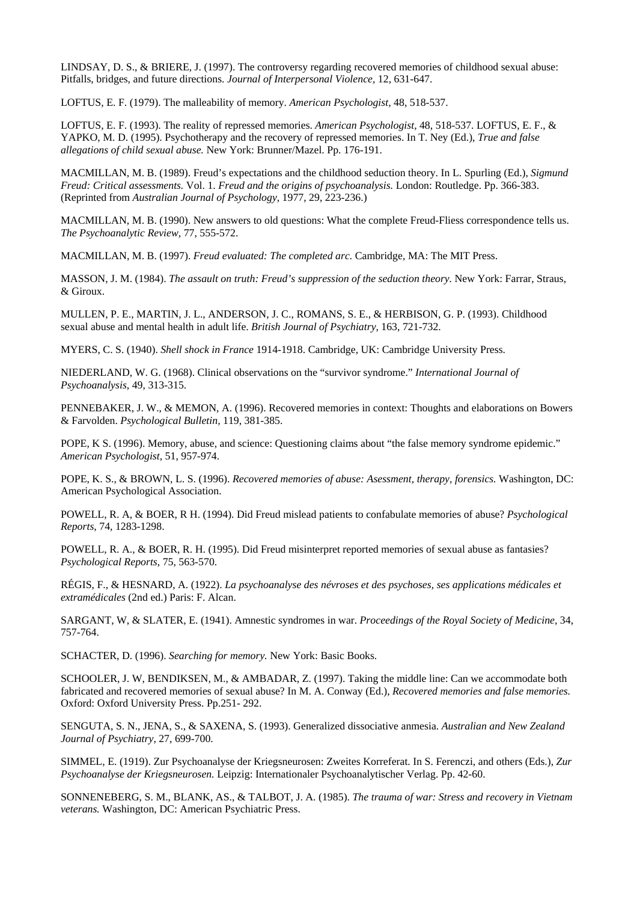LINDSAY, D. S., & BRIERE, J. (1997). The controversy regarding recovered memories of childhood sexual abuse: Pitfalls, bridges, and future directions. *Journal of Interpersonal Violence,* 12, 631-647.

LOFTUS, E. F. (1979). The malleability of memory. *American Psychologist,* 48, 518-537.

LOFTUS, E. F. (1993). The reality of repressed memories. *American Psychologist,* 48, 518-537. LOFTUS, E. F., & YAPKO, M. D. (1995). Psychotherapy and the recovery of repressed memories. In T. Ney (Ed.), *True and false allegations of child sexual abuse.* New York: Brunner/Mazel. Pp. 176-191.

MACMILLAN, M. B. (1989). Freud's expectations and the childhood seduction theory. In L. Spurling (Ed.), *Sigmund Freud: Critical assessments.* Vol. 1. *Freud and the origins of psychoanalysis.* London: Routledge. Pp. 366-383. (Reprinted from *Australian Journal of Psychology,* 1977, 29, 223-236.)

MACMILLAN, M. B. (1990). New answers to old questions: What the complete Freud-Fliess correspondence tells us. *The Psychoanalytic Review,* 77, 555-572.

MACMILLAN, M. B. (1997). *Freud evaluated: The completed arc.* Cambridge, MA: The MIT Press.

MASSON, J. M. (1984). *The assault on truth: Freud's suppression of the seduction theory.* New York: Farrar, Straus, & Giroux.

MULLEN, P. E., MARTIN, J. L., ANDERSON, J. C., ROMANS, S. E., & HERBISON, G. P. (1993). Childhood sexual abuse and mental health in adult life. *British Journal of Psychiatry,* 163, 721-732.

MYERS, C. S. (1940). *Shell shock in France* 1914-1918. Cambridge, UK: Cambridge University Press.

NIEDERLAND, W. G. (1968). Clinical observations on the "survivor syndrome." *International Journal of Psychoanalysis,* 49, 313-315.

PENNEBAKER, J. W., & MEMON, A. (1996). Recovered memories in context: Thoughts and elaborations on Bowers & Farvolden. *Psychological Bulletin,* 119, 381-385.

POPE, K S. (1996). Memory, abuse, and science: Questioning claims about "the false memory syndrome epidemic." *American Psychologist,* 51, 957-974.

POPE, K. S., & BROWN, L. S. (1996). *Recovered memories of abuse: Asessment, therapy, forensics.* Washington, DC: American Psychological Association.

POWELL, R. A, & BOER, R H. (1994). Did Freud mislead patients to confabulate memories of abuse? *Psychological Reports*, 74, 1283-1298.

POWELL, R. A., & BOER, R. H. (1995). Did Freud misinterpret reported memories of sexual abuse as fantasies? *Psychological Reports,* 75, 563-570.

RÉGIS, F., & HESNARD, A. (1922). *La psychoanalyse des névroses et des psychoses, ses applications médicales et extramédicales* (2nd ed.) Paris: F. Alcan.

SARGANT, W, & SLATER, E. (1941). Amnestic syndromes in war. *Proceedings of the Royal Society of Medicine,* 34, 757-764.

SCHACTER, D. (1996). *Searching for memory.* New York: Basic Books.

SCHOOLER, J. W, BENDIKSEN, M., & AMBADAR, Z. (1997). Taking the middle line: Can we accommodate both fabricated and recovered memories of sexual abuse? In M. A. Conway (Ed.), *Recovered memories and false memories.*  Oxford: Oxford University Press. Pp.251- 292.

SENGUTA, S. N., JENA, S., & SAXENA, S. (1993). Generalized dissociative anmesia. *Australian and New Zealand Journal of Psychiatry,* 27, 699-700.

SIMMEL, E. (1919). Zur Psychoanalyse der Kriegsneurosen: Zweites Korreferat. In S. Ferenczi, and others (Eds.), *Zur Psychoanalyse der Kriegsneurosen.* Leipzig: Internationaler Psychoanalytischer Verlag. Pp. 42-60.

SONNENEBERG, S. M., BLANK, AS., & TALBOT, J. A. (1985). *The trauma of war: Stress and recovery in Vietnam veterans.* Washington, DC: American Psychiatric Press.